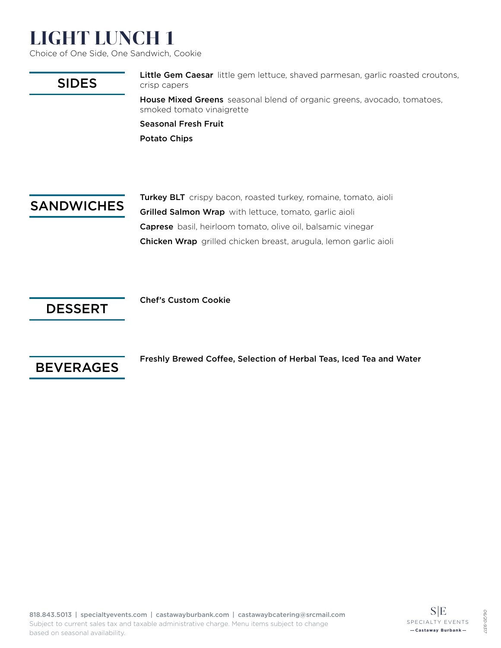# LIGHT LUNCH 1

Choice of One Side, One Sandwich, Cookie

### SIDES

Little Gem Caesar little gem lettuce, shaved parmesan, garlic roasted croutons, crisp capers

House Mixed Greens seasonal blend of organic greens, avocado, tomatoes, smoked tomato vinaigrette

Seasonal Fresh Fruit Potato Chips

### **SANDWICHES**

Turkey BLT crispy bacon, roasted turkey, romaine, tomato, aioli Grilled Salmon Wrap with lettuce, tomato, garlic aioli Caprese basil, heirloom tomato, olive oil, balsamic vinegar Chicken Wrap grilled chicken breast, arugula, lemon garlic aioli

### DESSERT

Chef's Custom Cookie



Freshly Brewed Coffee, Selection of Herbal Teas, Iced Tea and Water

*06/20-9317*

02/90  $126 -$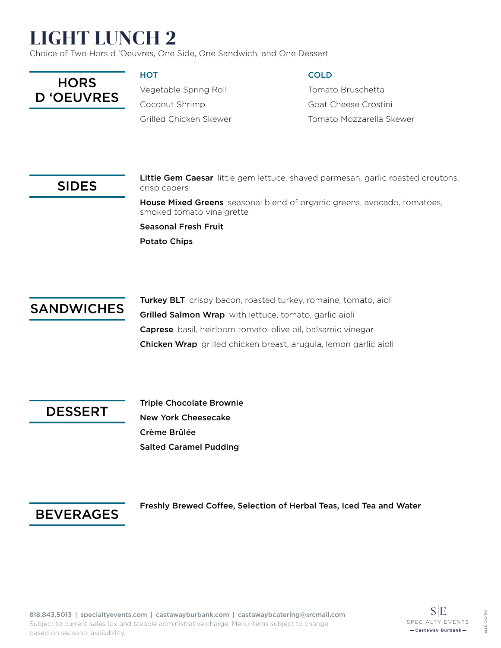# LIGHT LUNCH 2

Choice of Two Hors d 'Oeuvres, One Side, One Sandwich, and One Dessert



#### **HOT**

Vegetable Spring Roll Coconut Shrimp Grilled Chicken Skewer

#### COLD

Tomato Bruschetta Goat Cheese Crostini Tomato Mozzarella Skewer

### SIDES

Little Gem Caesar little gem lettuce, shaved parmesan, garlic roasted croutons, crisp capers House Mixed Greens seasonal blend of organic greens, avocado, tomatoes,

smoked tomato vinaigrette

Seasonal Fresh Fruit Potato Chips



Turkey BLT crispy bacon, roasted turkey, romaine, tomato, aioli Grilled Salmon Wrap with lettuce, tomato, garlic aioli Caprese basil, heirloom tomato, olive oil, balsamic vinegar Chicken Wrap grilled chicken breast, arugula, lemon garlic aioli

DESSERT

Triple Chocolate Brownie New York Cheesecake Crème Brûlée Salted Caramel Pudding

### BEVERAGES

Freshly Brewed Coffee, Selection of Herbal Teas, Iced Tea and Water

*06/20-9317*

**06/2C** 931.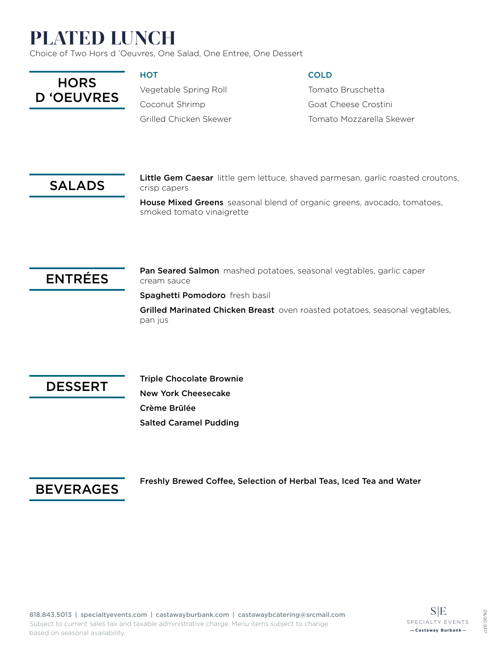# PLATED LUNCH

Choice of Two Hors d 'Oeuvres, One Salad, One Entree, One Dessert



#### **HOT**

Vegetable Spring Roll Coconut Shrimp Grilled Chicken Skewer

#### **COLD**

Tomato Bruschetta Goat Cheese Crostini Tomato Mozzarella Skewer

### SALADS

Little Gem Caesar little gem lettuce, shaved parmesan, garlic roasted croutons, crisp capers

House Mixed Greens seasonal blend of organic greens, avocado, tomatoes, smoked tomato vinaigrette

### ENTRÉES

Pan Seared Salmon mashed potatoes, seasonal vegtables, garlic caper cream sauce

Spaghetti Pomodoro fresh basil

Grilled Marinated Chicken Breast oven roasted potatoes, seasonal vegtables, pan jus



Triple Chocolate Brownie New York Cheesecake Crème Brûlée Salted Caramel Pudding



Freshly Brewed Coffee, Selection of Herbal Teas, Iced Tea and Water

*06/20-9317*

**06/2C** -931.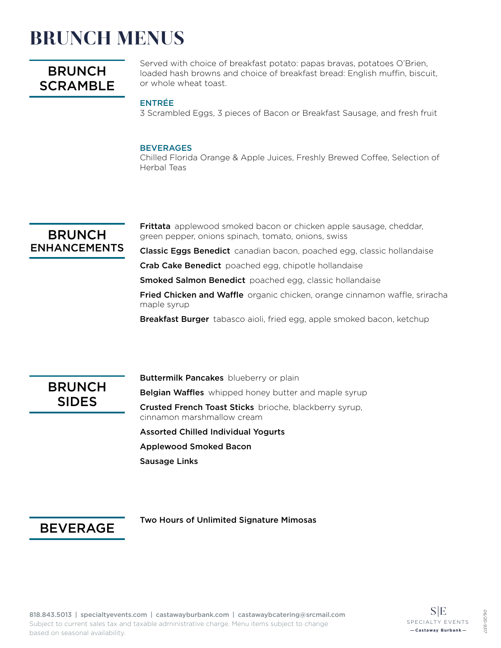## BRUNCH MENUS

### **BRUNCH SCRAMBLE**

Served with choice of breakfast potato: papas bravas, potatoes O'Brien, loaded hash browns and choice of breakfast bread: English muffin, biscuit, or whole wheat toast.

#### ENTRÉE

3 Scrambled Eggs, 3 pieces of Bacon or Breakfast Sausage, and fresh fruit

#### **BEVERAGES**

Chilled Florida Orange & Apple Juices, Freshly Brewed Coffee, Selection of Herbal Teas

#### **BRUNCH** ENHANCEMENTS

**Frittata** applewood smoked bacon or chicken apple sausage, cheddar, green pepper, onions spinach, tomato, onions, swiss

Classic Eggs Benedict canadian bacon, poached egg, classic hollandaise

Crab Cake Benedict poached egg, chipotle hollandaise

**Smoked Salmon Benedict** poached egg, classic hollandaise

Fried Chicken and Waffle organic chicken, orange cinnamon waffle, sriracha maple syrup

Breakfast Burger tabasco aioli, fried egg, apple smoked bacon, ketchup



**Buttermilk Pancakes** blueberry or plain **Belgian Waffles** whipped honey butter and maple syrup Crusted French Toast Sticks brioche, blackberry syrup, cinnamon marshmallow cream Assorted Chilled Individual Yogurts Applewood Smoked Bacon Sausage Links

#### BEVERAGE

Two Hours of Unlimited Signature Mimosas

*06/20-9317*

**06/2C**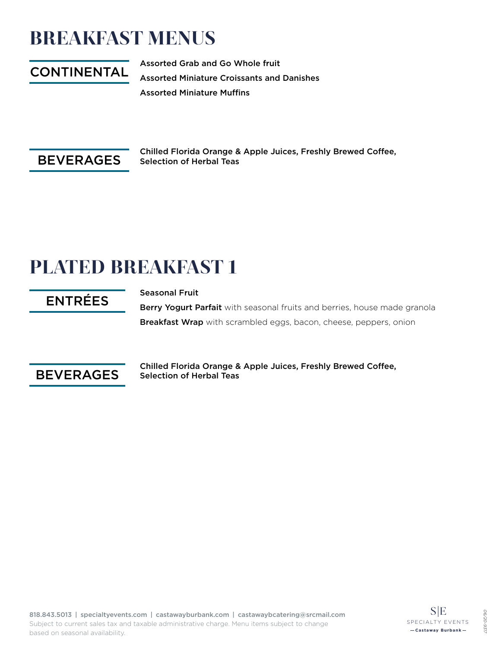## BREAKFAST MENUS

## CONTINENTAL

Assorted Grab and Go Whole fruit Assorted Miniature Croissants and Danishes Assorted Miniature Muffins



Chilled Florida Orange & Apple Juices, Freshly Brewed Coffee, Selection of Herbal Teas

# PLATED BREAKFAST 1

## ENTRÉES

Seasonal Fruit

Berry Yogurt Parfait with seasonal fruits and berries, house made granola Breakfast Wrap with scrambled eggs, bacon, cheese, peppers, onion



Chilled Florida Orange & Apple Juices, Freshly Brewed Coffee, Selection of Herbal Teas

*06/20-9317*

-02/90  $126 -$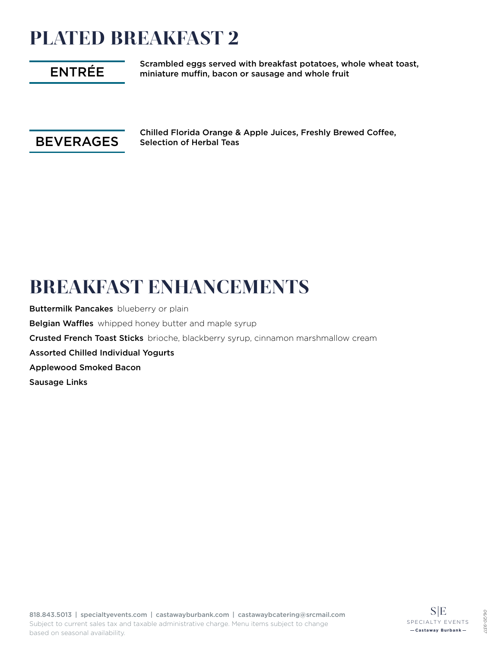# PLATED BREAKFAST 2

## ENTRÉE

Scrambled eggs served with breakfast potatoes, whole wheat toast, miniature muffin, bacon or sausage and whole fruit



Chilled Florida Orange & Apple Juices, Freshly Brewed Coffee, Selection of Herbal Teas

## BREAKFAST ENHANCEMENTS

**Buttermilk Pancakes** blueberry or plain **Belgian Waffles** whipped honey butter and maple syrup Crusted French Toast Sticks brioche, blackberry syrup, cinnamon marshmallow cream Assorted Chilled Individual Yogurts Applewood Smoked Bacon Sausage Links

*06/20-9317*

-02/90  $126 -$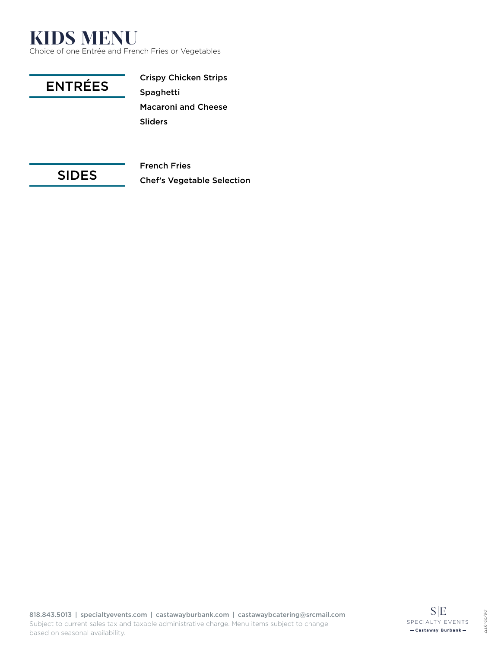## KIDS MENU

Choice of one Entrée and French Fries or Vegetables



### SIDES

French Fries Chef's Vegetable Selection

818.843.5013 | specialtyevents.com | castawayburbank.com | castawaybcatering@srcmail.com Subject to current sales tax and taxable administrative charge. Menu items subject to change based on seasonal availability.

*06/20-9317*

06/20-9317